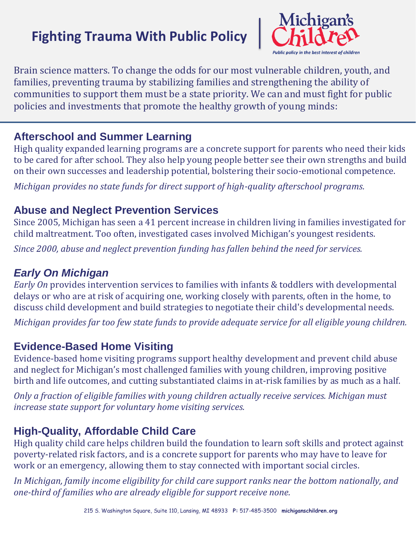# **Fighting Trauma With Public Policy**



Brain science matters. To change the odds for our most vulnerable children, youth, and families, preventing trauma by stabilizing families and strengthening the ability of communities to support them must be a state priority. We can and must fight for public policies and investments that promote the healthy growth of young minds:

#### **Afterschool and Summer Learning**

High quality expanded learning programs are a concrete support for parents who need their kids to be cared for after school. They also help young people better see their own strengths and build on their own successes and leadership potential, bolstering their socio-emotional competence.

*Michigan provides no state funds for direct support of high-quality afterschool programs.*

#### **Abuse and Neglect Prevention Services**

Since 2005, Michigan has seen a 41 percent increase in children living in families investigated for child maltreatment. Too often, investigated cases involved Michigan's youngest residents.

*Since 2000, abuse and neglect prevention funding has fallen behind the need for services.*

### *Early On Michigan*

*Early On* provides intervention services to families with infants & toddlers with developmental delays or who are at risk of acquiring one, working closely with parents, often in the home, to discuss child development and build strategies to negotiate their child's developmental needs.

*Michigan provides far too few state funds to provide adequate service for all eligible young children.*

### **Evidence-Based Home Visiting**

Evidence-based home visiting programs support healthy development and prevent child abuse and neglect for Michigan's most challenged families with young children, improving positive birth and life outcomes, and cutting substantiated claims in at-risk families by as much as a half.

*Only a fraction of eligible families with young children actually receive services. Michigan must increase state support for voluntary home visiting services.*

### **High-Quality, Affordable Child Care**

High quality child care helps children build the foundation to learn soft skills and protect against poverty-related risk factors, and is a concrete support for parents who may have to leave for work or an emergency, allowing them to stay connected with important social circles.

*In Michigan, family income eligibility for child care support ranks near the bottom nationally, and one-third of families who are already eligible for support receive none.*